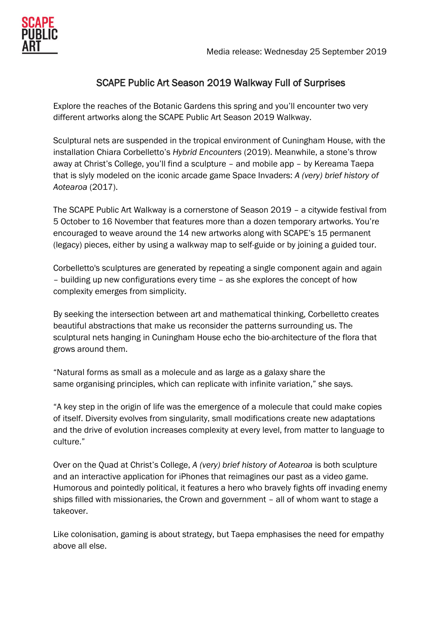

# SCAPE Public Art Season 2019 Walkway Full of Surprises

Explore the reaches of the Botanic Gardens this spring and you'll encounter two very different artworks along the SCAPE Public Art Season 2019 Walkway.

Sculptural nets are suspended in the tropical environment of Cuningham House, with the installation Chiara Corbelletto's *Hybrid Encounters* (2019). Meanwhile, a stone's throw away at Christ's College, you'll find a sculpture – and mobile app – by Kereama Taepa that is slyly modeled on the iconic arcade game Space Invaders: *A (very) brief history of Aotearoa* (2017).

The SCAPE Public Art Walkway is a cornerstone of Season 2019 – a citywide festival from 5 October to 16 November that features more than a dozen temporary artworks. You're encouraged to weave around the 14 new artworks along with SCAPE's 15 permanent (legacy) pieces, either by using a walkway map to self-guide or by joining a guided tour.

Corbelletto's sculptures are generated by repeating a single component again and again – building up new configurations every time – as she explores the concept of how complexity emerges from simplicity.

By seeking the intersection between art and mathematical thinking, Corbelletto creates beautiful abstractions that make us reconsider the patterns surrounding us. The sculptural nets hanging in Cuningham House echo the bio-architecture of the flora that grows around them.

"Natural forms as small as a molecule and as large as a galaxy share the same organising principles, which can replicate with infinite variation," she says.

"A key step in the origin of life was the emergence of a molecule that could make copies of itself. Diversity evolves from singularity, small modifications create new adaptations and the drive of evolution increases complexity at every level, from matter to language to culture."

Over on the Quad at Christ's College, *A (very) brief history of Aotearoa* is both sculpture and an interactive application for iPhones that reimagines our past as a video game. Humorous and pointedly political, it features a hero who bravely fights off invading enemy ships filled with missionaries, the Crown and government – all of whom want to stage a takeover.

Like colonisation, gaming is about strategy, but Taepa emphasises the need for empathy above all else.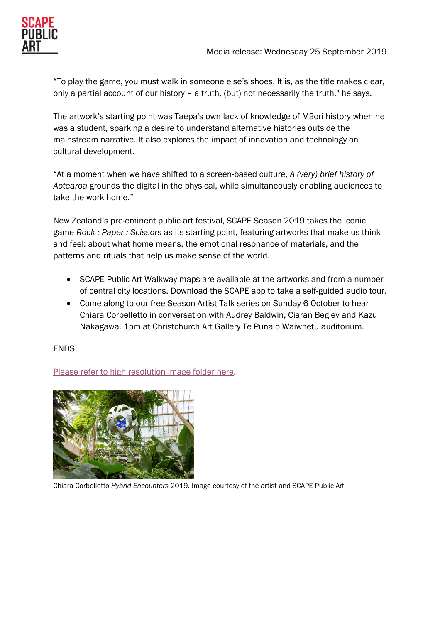"To play the game, you must walk in someone else's shoes. It is, as the title makes clear, only a partial account of our history – a truth, (but) not necessarily the truth," he says.

The artwork's starting point was Taepa's own lack of knowledge of Māori history when he was a student, sparking a desire to understand alternative histories outside the mainstream narrative. It also explores the impact of innovation and technology on cultural development.

"At a moment when we have shifted to a screen-based culture, *A (very) brief history of Aotearoa* grounds the digital in the physical, while simultaneously enabling audiences to take the work home."

New Zealand's pre-eminent public art festival, SCAPE Season 2019 takes the iconic game *Rock : Paper : Scissors* as its starting point, featuring artworks that make us think and feel: about what home means, the emotional resonance of materials, and the patterns and rituals that help us make sense of the world.

- SCAPE Public Art Walkway maps are available at the artworks and from a number of central city locations. Download the SCAPE app to take a self-guided audio tour.
- Come along to our free Season Artist Talk series on Sunday 6 October to hear Chiara Corbelletto in conversation with Audrey Baldwin, Ciaran Begley and Kazu Nakagawa. 1pm at Christchurch Art Gallery Te Puna o Waiwhetū auditorium.

# ENDS

[Please refer to high resolution image folder here.](https://www.dropbox.com/sh/vcfngyd2yvfoz0o/AACeVAy-gE8lmAK5zHlbceF5a?dl=0)



Chiara Corbelletto *Hybrid Encounters* 2019. Image courtesy of the artist and SCAPE Public Art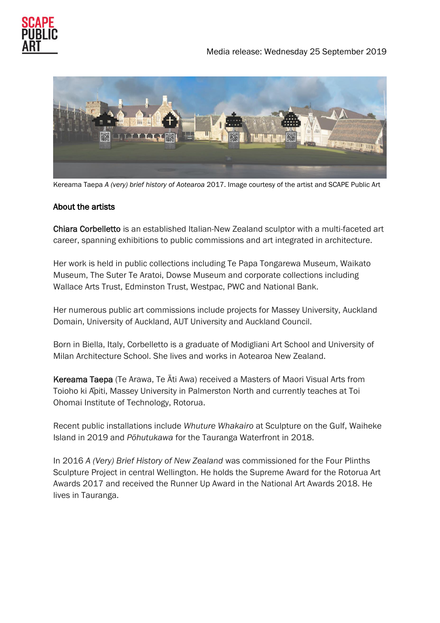



Kereama Taepa *A (very) brief history of Aotearoa* 2017. Image courtesy of the artist and SCAPE Public Art

# About the artists

Chiara Corbelletto is an established Italian-New Zealand sculptor with a multi-faceted art career, spanning exhibitions to public commissions and art integrated in architecture.

Her work is held in public collections including Te Papa Tongarewa Museum, Waikato Museum, The Suter Te Aratoi, Dowse Museum and corporate collections including Wallace Arts Trust, Edminston Trust, Westpac, PWC and National Bank.

Her numerous public art commissions include projects for Massey University, Auckland Domain, University of Auckland, AUT University and Auckland Council.

Born in Biella, Italy, Corbelletto is a graduate of Modigliani Art School and University of Milan Architecture School. She lives and works in Aotearoa New Zealand.

Kereama Taepa (Te Arawa, Te Āti Awa) received a Masters of Maori Visual Arts from Toioho ki Āpiti, Massey University in Palmerston North and currently teaches at Toi Ohomai Institute of Technology, Rotorua.

Recent public installations include *Whuture Whakairo* at Sculpture on the Gulf, Waiheke Island in 2019 and *Pōhutukawa* for the Tauranga Waterfront in 2018.

In 2016 *A (Very) Brief History of New Zealand* was commissioned for the Four Plinths Sculpture Project in central Wellington. He holds the Supreme Award for the Rotorua Art Awards 2017 and received the Runner Up Award in the National Art Awards 2018. He lives in Tauranga.